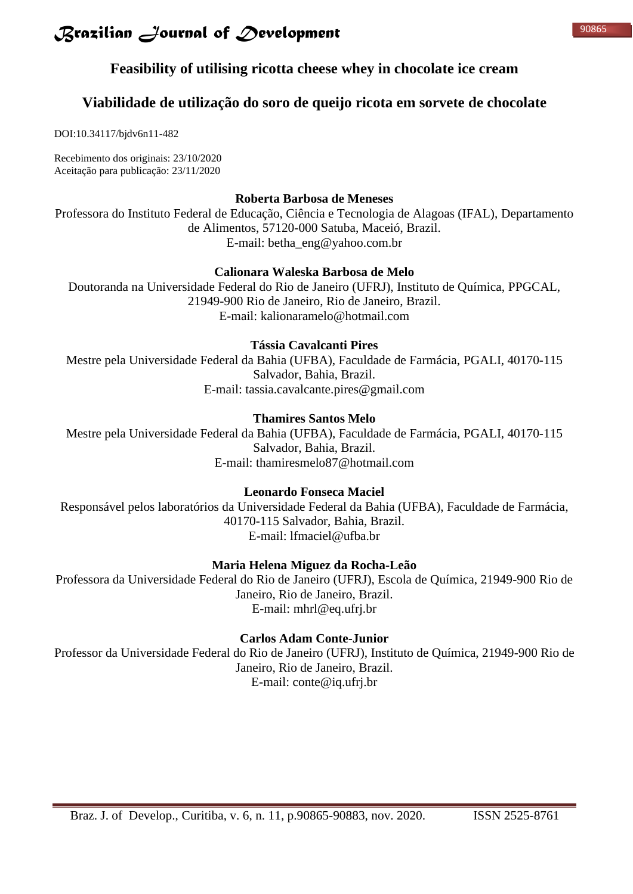## **Feasibility of utilising ricotta cheese whey in chocolate ice cream**

## **Viabilidade de utilização do soro de queijo ricota em sorvete de chocolate**

DOI:10.34117/bjdv6n11-482

Recebimento dos originais: 23/10/2020 Aceitação para publicação: 23/11/2020

### **Roberta Barbosa de Meneses**

Professora do Instituto Federal de Educação, Ciência e Tecnologia de Alagoas (IFAL), Departamento de Alimentos, 57120-000 Satuba, Maceió, Brazil. E-mail: betha\_eng@yahoo.com.br

### **Calionara Waleska Barbosa de Melo**

Doutoranda na Universidade Federal do Rio de Janeiro (UFRJ), Instituto de Química, PPGCAL, 21949-900 Rio de Janeiro, Rio de Janeiro, Brazil. E-mail: kalionaramelo@hotmail.com

## **Tássia Cavalcanti Pires**

Mestre pela Universidade Federal da Bahia (UFBA), Faculdade de Farmácia, PGALI, 40170-115 Salvador, Bahia, Brazil. E-mail: tassia.cavalcante.pires@gmail.com

## **Thamires Santos Melo**

Mestre pela Universidade Federal da Bahia (UFBA), Faculdade de Farmácia, PGALI, 40170-115 Salvador, Bahia, Brazil. E-mail: thamiresmelo87@hotmail.com

## **Leonardo Fonseca Maciel**

Responsável pelos laboratórios da Universidade Federal da Bahia (UFBA), Faculdade de Farmácia, 40170-115 Salvador, Bahia, Brazil. E-mail: lfmaciel@ufba.br

## **Maria Helena Miguez da Rocha-Leão**

Professora da Universidade Federal do Rio de Janeiro (UFRJ), Escola de Química, 21949-900 Rio de Janeiro, Rio de Janeiro, Brazil. E-mail: mhrl@eq.ufrj.br

## **Carlos Adam Conte-Junior**

Professor da Universidade Federal do Rio de Janeiro (UFRJ), Instituto de Química, 21949-900 Rio de Janeiro, Rio de Janeiro, Brazil. E-mail: conte@iq.ufrj.br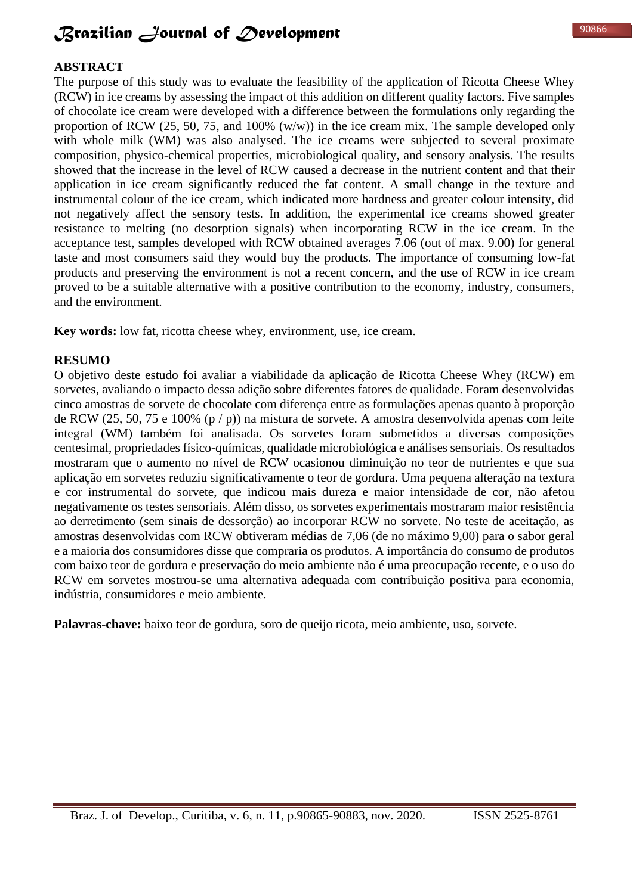#### **ABSTRACT**

The purpose of this study was to evaluate the feasibility of the application of Ricotta Cheese Whey (RCW) in ice creams by assessing the impact of this addition on different quality factors. Five samples of chocolate ice cream were developed with a difference between the formulations only regarding the proportion of RCW (25, 50, 75, and 100%  $(w/w)$ ) in the ice cream mix. The sample developed only with whole milk (WM) was also analysed. The ice creams were subjected to several proximate composition, physico-chemical properties, microbiological quality, and sensory analysis. The results showed that the increase in the level of RCW caused a decrease in the nutrient content and that their application in ice cream significantly reduced the fat content. A small change in the texture and instrumental colour of the ice cream, which indicated more hardness and greater colour intensity, did not negatively affect the sensory tests. In addition, the experimental ice creams showed greater resistance to melting (no desorption signals) when incorporating RCW in the ice cream. In the acceptance test, samples developed with RCW obtained averages 7.06 (out of max. 9.00) for general taste and most consumers said they would buy the products. The importance of consuming low-fat products and preserving the environment is not a recent concern, and the use of RCW in ice cream proved to be a suitable alternative with a positive contribution to the economy, industry, consumers, and the environment.

**Key words:** low fat, ricotta cheese whey, environment, use, ice cream.

#### **RESUMO**

O objetivo deste estudo foi avaliar a viabilidade da aplicação de Ricotta Cheese Whey (RCW) em sorvetes, avaliando o impacto dessa adição sobre diferentes fatores de qualidade. Foram desenvolvidas cinco amostras de sorvete de chocolate com diferença entre as formulações apenas quanto à proporção de RCW (25, 50, 75 e 100% (p / p)) na mistura de sorvete. A amostra desenvolvida apenas com leite integral (WM) também foi analisada. Os sorvetes foram submetidos a diversas composições centesimal, propriedades físico-químicas, qualidade microbiológica e análises sensoriais. Os resultados mostraram que o aumento no nível de RCW ocasionou diminuição no teor de nutrientes e que sua aplicação em sorvetes reduziu significativamente o teor de gordura. Uma pequena alteração na textura e cor instrumental do sorvete, que indicou mais dureza e maior intensidade de cor, não afetou negativamente os testes sensoriais. Além disso, os sorvetes experimentais mostraram maior resistência ao derretimento (sem sinais de dessorção) ao incorporar RCW no sorvete. No teste de aceitação, as amostras desenvolvidas com RCW obtiveram médias de 7,06 (de no máximo 9,00) para o sabor geral e a maioria dos consumidores disse que compraria os produtos. A importância do consumo de produtos com baixo teor de gordura e preservação do meio ambiente não é uma preocupação recente, e o uso do RCW em sorvetes mostrou-se uma alternativa adequada com contribuição positiva para economia, indústria, consumidores e meio ambiente.

**Palavras-chave:** baixo teor de gordura, soro de queijo ricota, meio ambiente, uso, sorvete.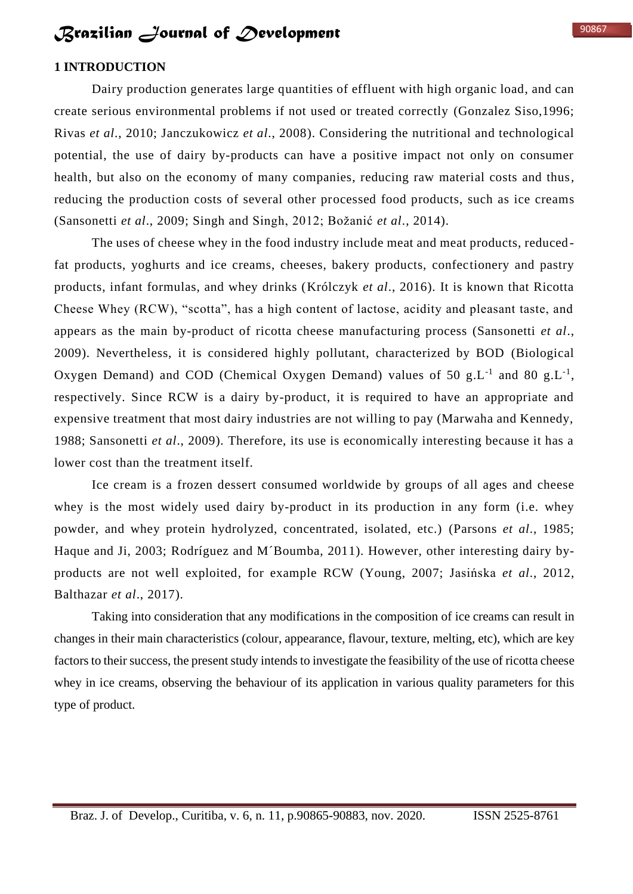## **1 INTRODUCTION**

Dairy production generates large quantities of effluent with high organic load, and can create serious environmental problems if not used or treated correctly (Gonzalez Siso,1996; Rivas *et al*., 2010; Janczukowicz *et al*., 2008). Considering the nutritional and technological potential, the use of dairy by-products can have a positive impact not only on consumer health, but also on the economy of many companies, reducing raw material costs and thus, reducing the production costs of several other processed food products, such as ice creams (Sansonetti *et al*., 2009; Singh and Singh, 2012; Božanić *et al*., 2014).

The uses of cheese whey in the food industry include meat and meat products, reduced fat products, yoghurts and ice creams, cheeses, bakery products, confectionery and pastry products, infant formulas, and whey drinks (Królczyk *et al*., 2016). It is known that Ricotta Cheese Whey (RCW), "scotta", has a high content of lactose, acidity and pleasant taste, and appears as the main by-product of ricotta cheese manufacturing process (Sansonetti *et al*., 2009). Nevertheless, it is considered highly pollutant, characterized by BOD (Biological Oxygen Demand) and COD (Chemical Oxygen Demand) values of 50 g.L<sup>-1</sup> and 80 g.L<sup>-1</sup>, respectively. Since RCW is a dairy by-product, it is required to have an appropriate and expensive treatment that most dairy industries are not willing to pay (Marwaha and Kennedy, 1988; Sansonetti *et al*., 2009). Therefore, its use is economically interesting because it has a lower cost than the treatment itself.

Ice cream is a frozen dessert consumed worldwide by groups of all ages and cheese whey is the most widely used dairy by-product in its production in any form (i.e. whey powder, and whey protein hydrolyzed, concentrated, isolated, etc.) (Parsons *et al*., 1985; Haque and Ji, 2003; Rodríguez and M´Boumba, 2011). However, other interesting dairy byproducts are not well exploited, for example RCW (Young, 2007; Jasińska *et al*., 2012, Balthazar *et al*., 2017).

Taking into consideration that any modifications in the composition of ice creams can result in changes in their main characteristics (colour, appearance, flavour, texture, melting, etc), which are key factors to their success, the present study intends to investigate the feasibility of the use of ricotta cheese whey in ice creams, observing the behaviour of its application in various quality parameters for this type of product.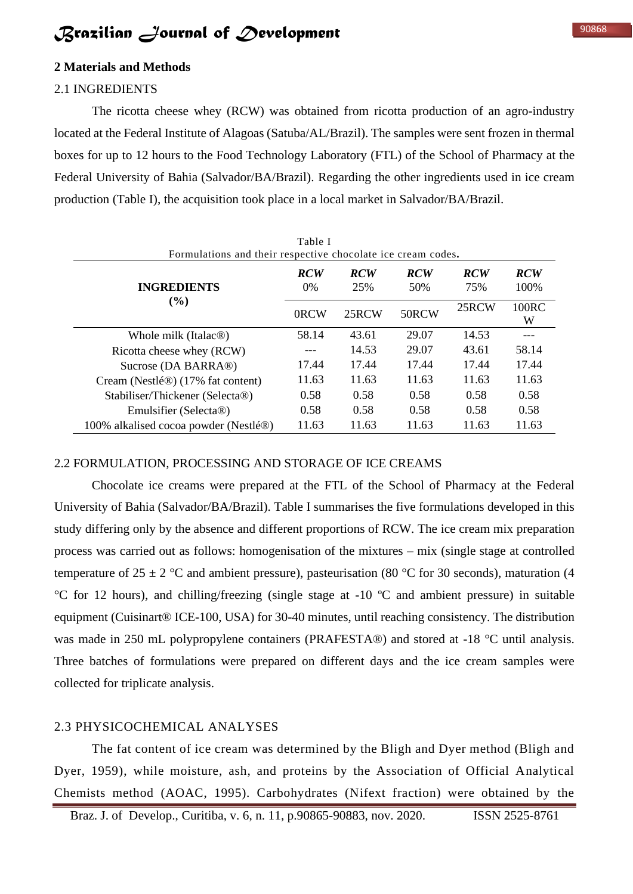#### **2 Materials and Methods**

### 2.1 INGREDIENTS

The ricotta cheese whey (RCW) was obtained from ricotta production of an agro-industry located at the Federal Institute of Alagoas (Satuba/AL/Brazil). The samples were sent frozen in thermal boxes for up to 12 hours to the Food Technology Laboratory (FTL) of the School of Pharmacy at the Federal University of Bahia (Salvador/BA/Brazil). Regarding the other ingredients used in ice cream production (Table I), the acquisition took place in a local market in Salvador/BA/Brazil.

| Table I<br>Formulations and their respective chocolate ice cream codes. |                     |                   |                   |                   |                     |  |  |
|-------------------------------------------------------------------------|---------------------|-------------------|-------------------|-------------------|---------------------|--|--|
| <b>INGREDIENTS</b>                                                      | <b>RCW</b><br>$0\%$ | <b>RCW</b><br>25% | <b>RCW</b><br>50% | <b>RCW</b><br>75% | <b>RCW</b><br>100\% |  |  |
| (%)                                                                     | 0RCW                | 25RCW             | 50RCW             | 25RCW             | 100RC<br>W          |  |  |
| Whole milk (Italac <sup>®)</sup>                                        | 58.14               | 43.61             | 29.07             | 14.53             |                     |  |  |
| Ricotta cheese whey (RCW)                                               |                     | 14.53             | 29.07             | 43.61             | 58.14               |  |  |
| Sucrose (DA BARRA®)                                                     | 17.44               | 17.44             | 17.44             | 17.44             | 17.44               |  |  |
| Cream (Nestlé®) (17% fat content)                                       | 11.63               | 11.63             | 11.63             | 11.63             | 11.63               |  |  |
| Stabiliser/Thickener (Selecta®)                                         | 0.58                | 0.58              | 0.58              | 0.58              | 0.58                |  |  |
| Emulsifier (Selecta <sup>®)</sup>                                       | 0.58                | 0.58              | 0.58              | 0.58              | 0.58                |  |  |
| 100% alkalised cocoa powder (Nestlé®)                                   | 11.63               | 11.63             | 11.63             | 11.63             | 11.63               |  |  |

### 2.2 FORMULATION, PROCESSING AND STORAGE OF ICE CREAMS

Chocolate ice creams were prepared at the FTL of the School of Pharmacy at the Federal University of Bahia (Salvador/BA/Brazil). Table I summarises the five formulations developed in this study differing only by the absence and different proportions of RCW. The ice cream mix preparation process was carried out as follows: homogenisation of the mixtures – mix (single stage at controlled temperature of  $25 \pm 2$  °C and ambient pressure), pasteurisation (80 °C for 30 seconds), maturation (4 °C for 12 hours), and chilling/freezing (single stage at -10 ºC and ambient pressure) in suitable equipment (Cuisinart® ICE-100, USA) for 30-40 minutes, until reaching consistency. The distribution was made in 250 mL polypropylene containers (PRAFESTA®) and stored at -18 °C until analysis. Three batches of formulations were prepared on different days and the ice cream samples were collected for triplicate analysis.

### 2.3 PHYSICOCHEMICAL ANALYSES

The fat content of ice cream was determined by the Bligh and Dyer method (Bligh and Dyer, 1959), while moisture, ash, and proteins by the Association of Official Analytical Chemists method (AOAC, 1995). Carbohydrates (Nifext fraction) were obtained by the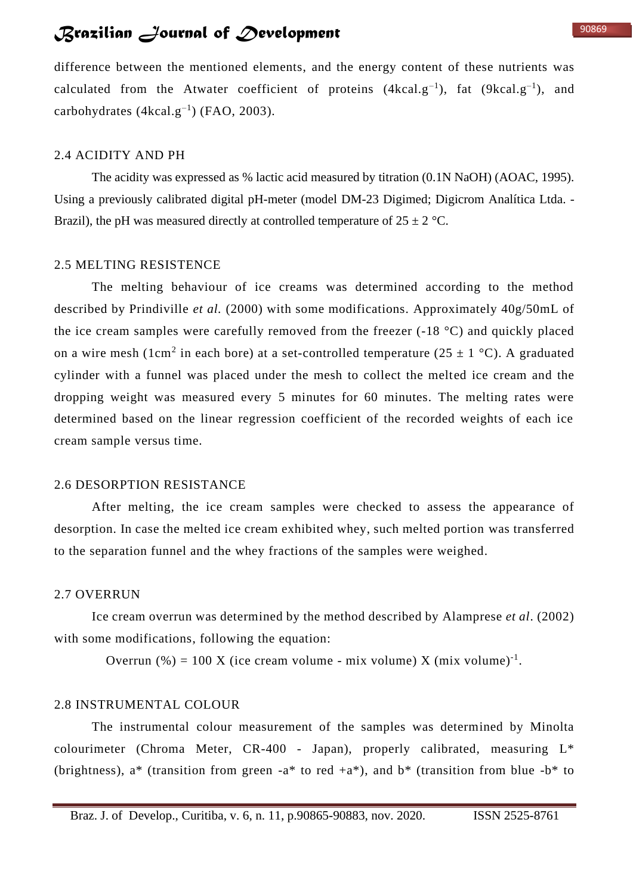difference between the mentioned elements, and the energy content of these nutrients was calculated from the Atwater coefficient of proteins  $(4kcal.g^{-1})$ , fat  $(9kcal.g^{-1})$ , and carbohydrates  $(4kcal.g^{-1})$  (FAO, 2003).

#### 2.4 ACIDITY AND PH

The acidity was expressed as % lactic acid measured by titration (0.1N NaOH) (AOAC, 1995). Using a previously calibrated digital pH-meter (model DM-23 Digimed; Digicrom Analítica Ltda. - Brazil), the pH was measured directly at controlled temperature of  $25 \pm 2$  °C.

#### 2.5 MELTING RESISTENCE

The melting behaviour of ice creams was determined according to the method described by Prindiville *et al.* (2000) with some modifications. Approximately 40g/50mL of the ice cream samples were carefully removed from the freezer (-18 °C) and quickly placed on a wire mesh (1cm<sup>2</sup> in each bore) at a set-controlled temperature (25  $\pm$  1 °C). A graduated cylinder with a funnel was placed under the mesh to collect the melted ice cream and the dropping weight was measured every 5 minutes for 60 minutes. The melting rates were determined based on the linear regression coefficient of the recorded weights of each ice cream sample versus time.

#### 2.6 DESORPTION RESISTANCE

After melting, the ice cream samples were checked to assess the appearance of desorption. In case the melted ice cream exhibited whey, such melted portion was transferred to the separation funnel and the whey fractions of the samples were weighed.

#### 2.7 OVERRUN

Ice cream overrun was determined by the method described by Alamprese *et al*. (2002) with some modifications, following the equation:

Overrun  $\left(\% \right) = 100$  X (ice cream volume - mix volume) X (mix volume)<sup>-1</sup>.

#### 2.8 INSTRUMENTAL COLOUR

The instrumental colour measurement of the samples was determined by Minolta colourimeter (Chroma Meter,  $CR-400$  - Japan), properly calibrated, measuring  $L^*$ (brightness),  $a^*$  (transition from green - $a^*$  to red + $a^*$ ), and  $b^*$  (transition from blue - $b^*$  to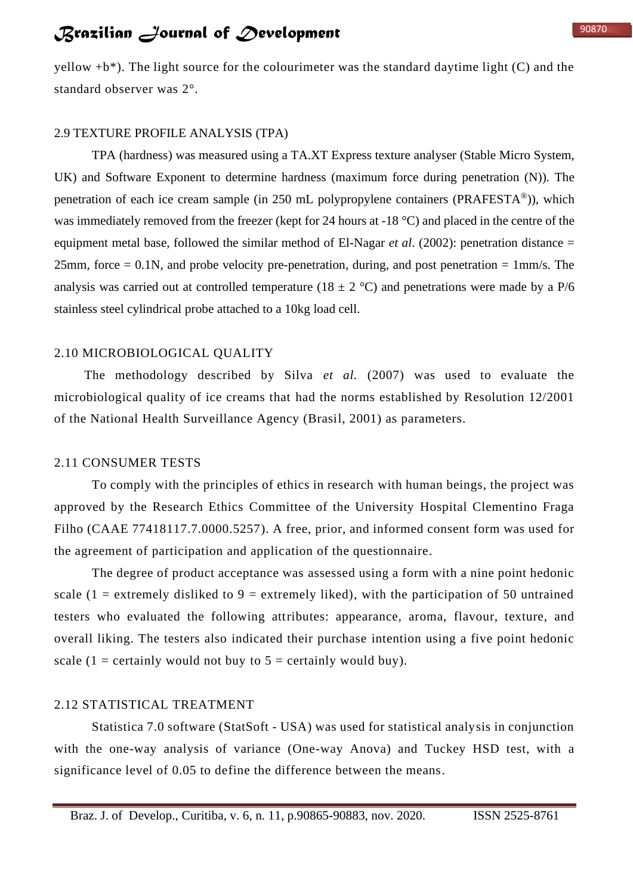yellow  $+b^*$ ). The light source for the colourimeter was the standard daytime light (C) and the standard observer was 2°.

### 2.9 TEXTURE PROFILE ANALYSIS (TPA)

TPA (hardness) was measured using a TA.XT Express texture analyser (Stable Micro System, UK) and Software Exponent to determine hardness (maximum force during penetration (N)). The penetration of each ice cream sample (in 250 mL polypropylene containers (PRAFESTA®)), which was immediately removed from the freezer (kept for 24 hours at -18 °C) and placed in the centre of the equipment metal base, followed the similar method of El-Nagar *et al*. (2002): penetration distance = 25mm, force  $= 0.1N$ , and probe velocity pre-penetration, during, and post penetration  $= 1 \text{mm/s}$ . The analysis was carried out at controlled temperature (18  $\pm$  2 °C) and penetrations were made by a P/6 stainless steel cylindrical probe attached to a 10kg load cell.

#### 2.10 MICROBIOLOGICAL QUALITY

The methodology described by Silva *et al.* (2007) was used to evaluate the microbiological quality of ice creams that had the norms established by Resolution 12/2001 of the National Health Surveillance Agency (Brasil, 2001) as parameters.

### 2.11 CONSUMER TESTS

To comply with the principles of ethics in research with human beings, the project was approved by the Research Ethics Committee of the University Hospital Clementino Fraga Filho (CAAE 77418117.7.0000.5257). A free, prior, and informed consent form was used for the agreement of participation and application of the questionnaire.

The degree of product acceptance was assessed using a form with a nine point hedonic scale  $(1 =$  extremely disliked to  $9 =$  extremely liked), with the participation of 50 untrained testers who evaluated the following attributes: appearance, aroma, flavour, texture, and overall liking. The testers also indicated their purchase intention using a five point hedonic scale  $(1 = \text{certainly would not buy to } 5 = \text{certainly would buy}).$ 

### 2.12 STATISTICAL TREATMENT

Statistica 7.0 software (StatSoft - USA) was used for statistical analysis in conjunction with the one-way analysis of variance (One-way Anova) and Tuckey HSD test, with a significance level of 0.05 to define the difference between the means.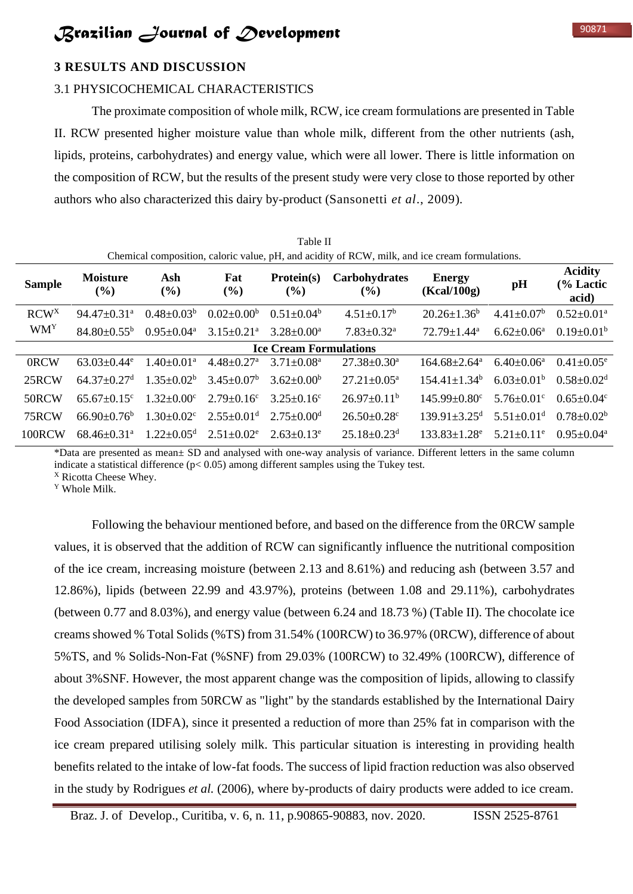## **3 RESULTS AND DISCUSSION**

### 3.1 PHYSICOCHEMICAL CHARACTERISTICS

The proximate composition of whole milk, RCW, ice cream formulations are presented in Table II. RCW presented higher moisture value than whole milk, different from the other nutrients (ash, lipids, proteins, carbohydrates) and energy value, which were all lower. There is little information on the composition of RCW, but the results of the present study were very close to those reported by other authors who also characterized this dairy by-product (Sansonetti *et al*., 2009).

| Table II<br>Chemical composition, caloric value, pH, and acidity of RCW, milk, and ice cream formulations. |                               |                              |                              |                               |                               |                                |                              |                                      |
|------------------------------------------------------------------------------------------------------------|-------------------------------|------------------------------|------------------------------|-------------------------------|-------------------------------|--------------------------------|------------------------------|--------------------------------------|
| <b>Sample</b>                                                                                              | <b>Moisture</b><br>(%)        | Ash<br>$(\%)$                | Fat<br>$(\%)$                | Protein(s)<br>(%)             | Carbohydrates<br>$($ %)       | <b>Energy</b><br>(Kcal/100g)   | pH                           | <b>Acidity</b><br>(% Lactic<br>acid) |
| RCW <sup>X</sup>                                                                                           | $94.47 \pm 0.31$ <sup>a</sup> | $0.48 \pm 0.03^b$            | $0.02 \pm 0.00^b$            | $0.51 \pm 0.04^b$             | $4.51 \pm 0.17^b$             | $20.26 \pm 1.36^b$             | $4.41 \pm 0.07^b$            | $0.52 \pm 0.01$ <sup>a</sup>         |
| <b>WMY</b>                                                                                                 | $84.80 \pm 0.55^{\rm b}$      | $0.95 \pm 0.04^{\text{a}}$   | $3.15 \pm 0.21$ <sup>a</sup> | $3.28 + 0.00^a$               | $7.83 \pm 0.32$ <sup>a</sup>  | $72.79 \pm 1.44^a$             | $6.62 \pm 0.06^a$            | $0.19 \pm 0.01^b$                    |
|                                                                                                            |                               |                              |                              | <b>Ice Cream Formulations</b> |                               |                                |                              |                                      |
| 0RCW                                                                                                       | $63.03 + 0.44$ <sup>e</sup>   | $1.40 \pm 0.01^a$            | $4.48 \pm 0.27$ <sup>a</sup> | $3.71 \pm 0.08^a$             | $27.38 \pm 0.30^a$            | $164.68 \pm 2.64$ <sup>a</sup> | $6.40 \pm 0.06^{\text{a}}$   | $0.41 \pm 0.05^e$                    |
| 25RCW                                                                                                      | $64.37 + 0.27$ <sup>d</sup>   | $1.35+0.02b$                 | $3.45 \pm 0.07^b$            | $3.62 + 0.00b$                | $27.21 \pm 0.05^{\text{a}}$   | $154.41 \pm 1.34^b$            | $6.03+0.01b$                 | $0.58 \pm 0.02$ <sup>d</sup>         |
| 50RCW                                                                                                      | $65.67 \pm 0.15$ <sup>c</sup> | $1.32 \pm 0.00$ <sup>c</sup> | $2.79 \pm 0.16$ <sup>c</sup> | $3.25 \pm 0.16^{\circ}$       | $26.97 \pm 0.11^b$            | $145.99 \pm 0.80$ <sup>c</sup> | $5.76 \pm 0.01$ <sup>c</sup> | $0.65 \pm 0.04$ <sup>c</sup>         |
| 75RCW                                                                                                      | $66.90 + 0.76^b$              | $1.30 \pm 0.02$ <sup>c</sup> | $2.55 \pm 0.01$ <sup>d</sup> | $2.75+0.00d$                  | $26.50 \pm 0.28$ c            | $139.91 + 3.25$ <sup>d</sup>   | $5.51 \pm 0.01$ <sup>d</sup> | $0.78 \pm 0.02^b$                    |
| 100RCW                                                                                                     | $68.46 \pm 0.31$ <sup>a</sup> | $1.22 + 0.05^d$              | $2.51 \pm 0.02^e$            | $2.63 \pm 0.13^e$             | $25.18 \pm 0.23$ <sup>d</sup> | $133.83 \pm 1.28^e$            | $5.21 \pm 0.11$ <sup>e</sup> | $0.95 + 0.04^a$                      |

\*Data are presented as mean± SD and analysed with one-way analysis of variance. Different letters in the same column indicate a statistical difference ( $p$ < 0.05) among different samples using the Tukey test.

<sup>X</sup> Ricotta Cheese Whey.

<sup>Y</sup> Whole Milk.

Following the behaviour mentioned before, and based on the difference from the 0RCW sample values, it is observed that the addition of RCW can significantly influence the nutritional composition of the ice cream, increasing moisture (between 2.13 and 8.61%) and reducing ash (between 3.57 and 12.86%), lipids (between 22.99 and 43.97%), proteins (between 1.08 and 29.11%), carbohydrates (between 0.77 and 8.03%), and energy value (between 6.24 and 18.73 %) (Table II). The chocolate ice creamsshowed % Total Solids (%TS) from 31.54% (100RCW) to 36.97% (0RCW), difference of about 5%TS, and % Solids-Non-Fat (%SNF) from 29.03% (100RCW) to 32.49% (100RCW), difference of about 3%SNF. However, the most apparent change was the composition of lipids, allowing to classify the developed samples from 50RCW as "light" by the standards established by the International Dairy Food Association (IDFA), since it presented a reduction of more than 25% fat in comparison with the ice cream prepared utilising solely milk. This particular situation is interesting in providing health benefits related to the intake of low-fat foods. The success of lipid fraction reduction was also observed in the study by Rodrigues *et al.* (2006), where by-products of dairy products were added to ice cream.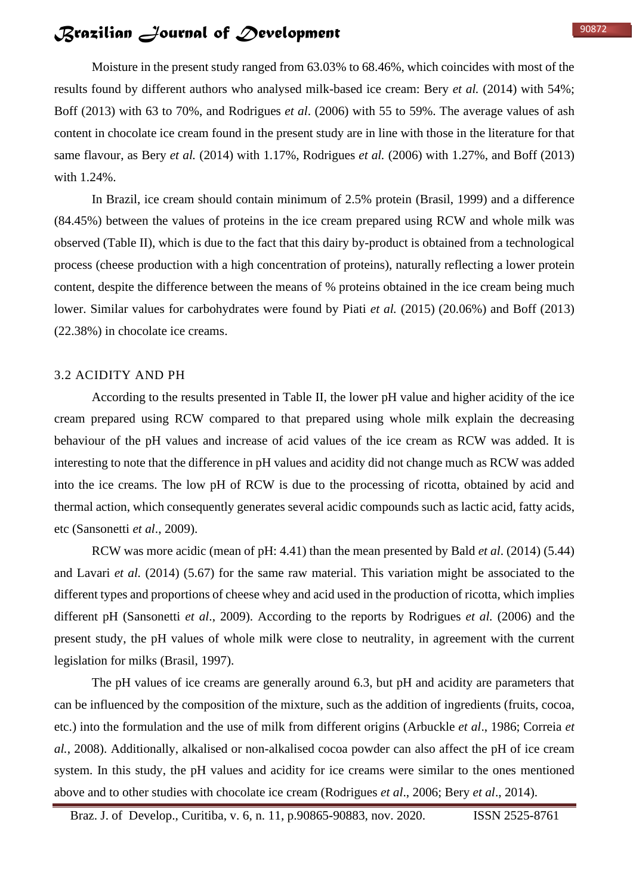Moisture in the present study ranged from 63.03% to 68.46%, which coincides with most of the results found by different authors who analysed milk-based ice cream: Bery *et al.* (2014) with 54%; Boff (2013) with 63 to 70%, and Rodrigues *et al*. (2006) with 55 to 59%. The average values of ash content in chocolate ice cream found in the present study are in line with those in the literature for that same flavour, as Bery *et al.* (2014) with 1.17%, Rodrigues *et al.* (2006) with 1.27%, and Boff (2013) with 1.24%.

In Brazil, ice cream should contain minimum of 2.5% protein (Brasil, 1999) and a difference (84.45%) between the values of proteins in the ice cream prepared using RCW and whole milk was observed (Table II), which is due to the fact that this dairy by-product is obtained from a technological process (cheese production with a high concentration of proteins), naturally reflecting a lower protein content, despite the difference between the means of % proteins obtained in the ice cream being much lower. Similar values for carbohydrates were found by Piati *et al.* (2015) (20.06%) and Boff (2013) (22.38%) in chocolate ice creams.

#### 3.2 ACIDITY AND PH

According to the results presented in Table II, the lower pH value and higher acidity of the ice cream prepared using RCW compared to that prepared using whole milk explain the decreasing behaviour of the pH values and increase of acid values of the ice cream as RCW was added. It is interesting to note that the difference in pH values and acidity did not change much as RCW was added into the ice creams. The low pH of RCW is due to the processing of ricotta, obtained by acid and thermal action, which consequently generates several acidic compounds such as lactic acid, fatty acids, etc (Sansonetti *et al*., 2009).

RCW was more acidic (mean of pH: 4.41) than the mean presented by Bald *et al*. (2014) (5.44) and Lavari *et al.* (2014) (5.67) for the same raw material. This variation might be associated to the different types and proportions of cheese whey and acid used in the production of ricotta, which implies different pH (Sansonetti *et al*., 2009). According to the reports by Rodrigues *et al.* (2006) and the present study, the pH values of whole milk were close to neutrality, in agreement with the current legislation for milks (Brasil, 1997).

The pH values of ice creams are generally around 6.3, but pH and acidity are parameters that can be influenced by the composition of the mixture, such as the addition of ingredients (fruits, cocoa, etc.) into the formulation and the use of milk from different origins (Arbuckle *et al*., 1986; Correia *et al.*, 2008). Additionally, alkalised or non-alkalised cocoa powder can also affect the pH of ice cream system. In this study, the pH values and acidity for ice creams were similar to the ones mentioned above and to other studies with chocolate ice cream (Rodrigues *et al*., 2006; Bery *et al*., 2014).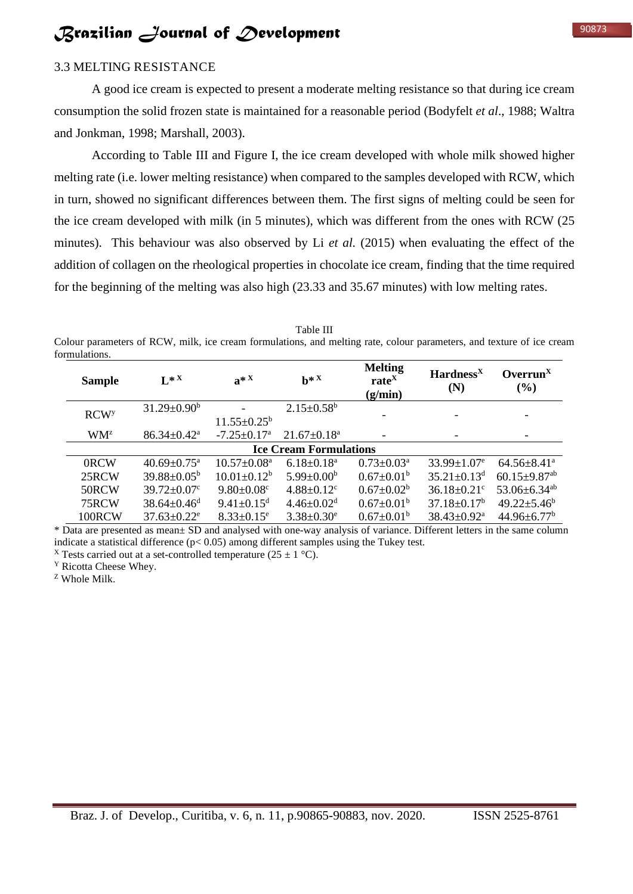A good ice cream is expected to present a moderate melting resistance so that during ice cream consumption the solid frozen state is maintained for a reasonable period (Bodyfelt *et al*., 1988; Waltra and Jonkman, 1998; Marshall, 2003).

According to Table III and Figure I, the ice cream developed with whole milk showed higher melting rate (i.e. lower melting resistance) when compared to the samples developed with RCW, which in turn, showed no significant differences between them. The first signs of melting could be seen for the ice cream developed with milk (in 5 minutes), which was different from the ones with RCW (25 minutes). This behaviour was also observed by Li *et al.* (2015) when evaluating the effect of the addition of collagen on the rheological properties in chocolate ice cream, finding that the time required for the beginning of the melting was also high (23.33 and 35.67 minutes) with low melting rates.

Table III Colour parameters of RCW, milk, ice cream formulations, and melting rate, colour parameters, and texture of ice cream formulations.

| <b>Sample</b>           | $L^*$                         | $a^*$ <sup>x</sup>            | $h^*$ <sup>x</sup>           | <b>Melting</b><br>rate <sup>X</sup><br>(g/min) | $\mathbf{Hardness}^{\mathbf{X}}$<br>(N) | Overrun <sup>X</sup><br>$(\%)$ |  |
|-------------------------|-------------------------------|-------------------------------|------------------------------|------------------------------------------------|-----------------------------------------|--------------------------------|--|
| <b>RCW</b> <sup>y</sup> | $31.29 \pm 0.90^b$            | $11.55 \pm 0.25^{\circ}$      | $2.15 \pm 0.58$ <sup>b</sup> |                                                |                                         |                                |  |
| WM <sup>z</sup>         | $86.34 \pm 0.42^{\text{a}}$   | $-7.25 \pm 0.17$ <sup>a</sup> | $21.67 \pm 0.18^a$           |                                                |                                         |                                |  |
|                         | <b>Ice Cream Formulations</b> |                               |                              |                                                |                                         |                                |  |
| 0RCW                    | $40.69 \pm 0.75$ <sup>a</sup> | $10.57 \pm 0.08^{\text{a}}$   | $6.18 \pm 0.18^a$            | $0.73 \pm 0.03^{\text{a}}$                     | $33.99 \pm 1.07$ <sup>e</sup>           | $64.56 \pm 8.41^{\circ}$       |  |
| 25RCW                   | $39.88 \pm 0.05^{\rm b}$      | $10.01 \pm 0.12^b$            | $5.99 \pm 0.00^b$            | $0.67 \pm 0.01^{\rm b}$                        | $35.21 \pm 0.13$ <sup>d</sup>           | $60.15 \pm 9.87$ <sup>ab</sup> |  |
| 50RCW                   | $39.72 \pm 0.07$ °            | $9.80 \pm 0.08$ <sup>c</sup>  | $4.88 \pm 0.12$ <sup>c</sup> | $0.67 \pm 0.02^b$                              | $36.18 \pm 0.21$ °                      | 53.06 $\pm$ 6.34 <sup>ab</sup> |  |
| 75RCW                   | $38.64 \pm 0.46$ <sup>d</sup> | $9.41 \pm 0.15$ <sup>d</sup>  | $4.46 \pm 0.02$ <sup>d</sup> | $0.67 \pm 0.01^{\rm b}$                        | $37.18 \pm 0.17^b$                      | $49.22 \pm 5.46^b$             |  |
| 100RCW                  | $37.63 \pm 0.22$ <sup>e</sup> | $8.33 \pm 0.15$ <sup>e</sup>  | $3.38 \pm 0.30^e$            | $0.67 \pm 0.01^{\rm b}$                        | $38.43 \pm 0.92^{\text{a}}$             | $44.96 \pm 6.77^b$             |  |

\* Data are presented as mean± SD and analysed with one-way analysis of variance. Different letters in the same column indicate a statistical difference ( $p$ < 0.05) among different samples using the Tukey test.

<sup>X</sup> Tests carried out at a set-controlled temperature (25  $\pm$  1 °C).

<sup>Y</sup> Ricotta Cheese Whey.

<sup>Z</sup> Whole Milk.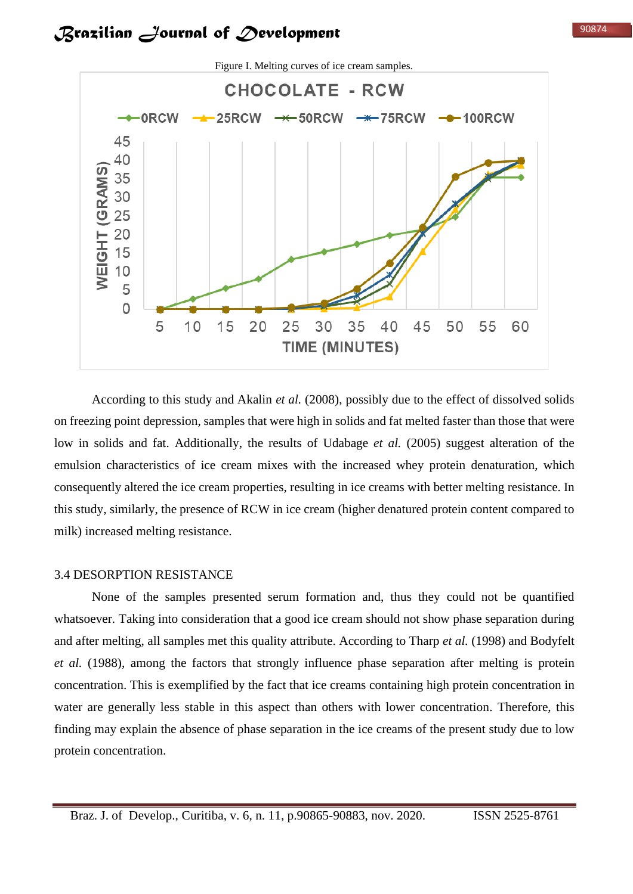

According to this study and Akalin *et al.* (2008), possibly due to the effect of dissolved solids on freezing point depression, samples that were high in solids and fat melted faster than those that were low in solids and fat. Additionally, the results of Udabage *et al.* (2005) suggest alteration of the emulsion characteristics of ice cream mixes with the increased whey protein denaturation, which consequently altered the ice cream properties, resulting in ice creams with better melting resistance. In this study, similarly, the presence of RCW in ice cream (higher denatured protein content compared to milk) increased melting resistance.

#### 3.4 DESORPTION RESISTANCE

None of the samples presented serum formation and, thus they could not be quantified whatsoever. Taking into consideration that a good ice cream should not show phase separation during and after melting, all samples met this quality attribute. According to Tharp *et al.* (1998) and Bodyfelt *et al.* (1988), among the factors that strongly influence phase separation after melting is protein concentration. This is exemplified by the fact that ice creams containing high protein concentration in water are generally less stable in this aspect than others with lower concentration. Therefore, this finding may explain the absence of phase separation in the ice creams of the present study due to low protein concentration.

90874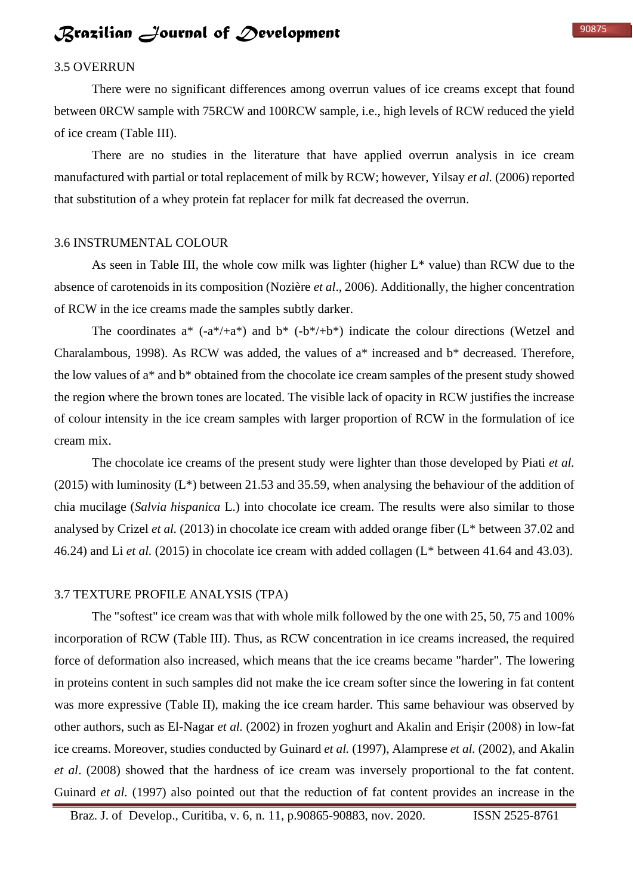## 3.5 OVERRUN

There were no significant differences among overrun values of ice creams except that found between 0RCW sample with 75RCW and 100RCW sample, i.e., high levels of RCW reduced the yield of ice cream (Table III).

There are no studies in the literature that have applied overrun analysis in ice cream manufactured with partial or total replacement of milk by RCW; however, Yilsay *et al.* (2006) reported that substitution of a whey protein fat replacer for milk fat decreased the overrun.

### 3.6 INSTRUMENTAL COLOUR

As seen in Table III, the whole cow milk was lighter (higher  $L^*$  value) than RCW due to the absence of carotenoids in its composition (Nozière *et al*., 2006). Additionally, the higher concentration of RCW in the ice creams made the samples subtly darker.

The coordinates  $a^*$  ( $-a^*/+a^*$ ) and  $b^*$  ( $-b^*/+b^*$ ) indicate the colour directions (Wetzel and Charalambous, 1998). As RCW was added, the values of a\* increased and b\* decreased. Therefore, the low values of a\* and b\* obtained from the chocolate ice cream samples of the present study showed the region where the brown tones are located. The visible lack of opacity in RCW justifies the increase of colour intensity in the ice cream samples with larger proportion of RCW in the formulation of ice cream mix.

The chocolate ice creams of the present study were lighter than those developed by Piati *et al.* (2015) with luminosity (L\*) between 21.53 and 35.59, when analysing the behaviour of the addition of chia mucilage (*Salvia hispanica* L.) into chocolate ice cream. The results were also similar to those analysed by Crizel *et al.* (2013) in chocolate ice cream with added orange fiber (L\* between 37.02 and 46.24) and Li *et al.* (2015) in chocolate ice cream with added collagen (L\* between 41.64 and 43.03).

#### 3.7 TEXTURE PROFILE ANALYSIS (TPA)

The "softest" ice cream was that with whole milk followed by the one with 25, 50, 75 and 100% incorporation of RCW (Table III). Thus, as RCW concentration in ice creams increased, the required force of deformation also increased, which means that the ice creams became "harder". The lowering in proteins content in such samples did not make the ice cream softer since the lowering in fat content was more expressive (Table II), making the ice cream harder. This same behaviour was observed by other authors, such as El-Nagar *et al.* (2002) in frozen yoghurt and Akalin and Erişir (2008) in low-fat ice creams. Moreover, studies conducted by Guinard *et al.* (1997), Alamprese *et al.* (2002), and Akalin *et al*. (2008) showed that the hardness of ice cream was inversely proportional to the fat content. Guinard *et al.* (1997) also pointed out that the reduction of fat content provides an increase in the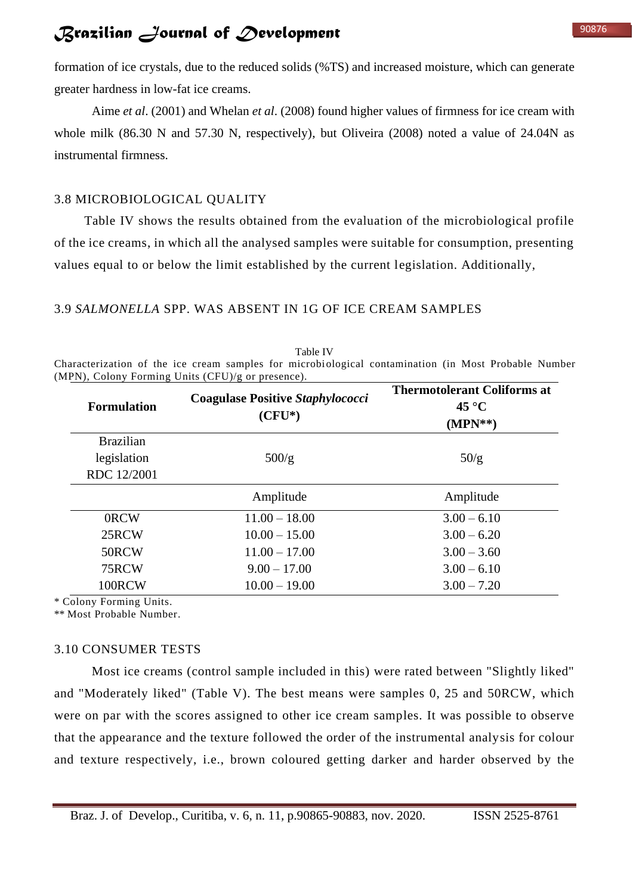formation of ice crystals, due to the reduced solids (%TS) and increased moisture, which can generate greater hardness in low-fat ice creams.

Aime *et al*. (2001) and Whelan *et al*. (2008) found higher values of firmness for ice cream with whole milk (86.30 N and 57.30 N, respectively), but Oliveira (2008) noted a value of 24.04N as instrumental firmness.

### 3.8 MICROBIOLOGICAL QUALITY

Table IV shows the results obtained from the evaluation of the microbiological profile of the ice creams, in which all the analysed samples were suitable for consumption, presenting values equal to or below the limit established by the current legislation. Additionally,

### 3.9 *SALMONELLA* SPP. WAS ABSENT IN 1G OF ICE CREAM SAMPLES

|                                                                                                      | <b>Thermotolerant Coliforms at</b> |  |  |
|------------------------------------------------------------------------------------------------------|------------------------------------|--|--|
| (MPN), Colony Forming Units $(CFU)/g$ or presence).                                                  |                                    |  |  |
| Characterization of the ice cream samples for microbiological contamination (in Most Probable Number |                                    |  |  |
| Table IV                                                                                             |                                    |  |  |

| <b>Formulation</b>              | <b>Coagulase Positive Staphylococci</b><br>$(CFU^*)$ | <b>Thermotolerant Coliforms at</b><br>$45^{\circ}C$<br>$(MPN**)$ |  |  |
|---------------------------------|------------------------------------------------------|------------------------------------------------------------------|--|--|
| <b>Brazilian</b><br>legislation | 500/g                                                | 50/g                                                             |  |  |
| RDC 12/2001                     |                                                      |                                                                  |  |  |
|                                 | Amplitude                                            | Amplitude                                                        |  |  |
| 0RCW                            | $11.00 - 18.00$                                      | $3.00 - 6.10$                                                    |  |  |
| 25RCW                           | $10.00 - 15.00$                                      | $3.00 - 6.20$                                                    |  |  |
| 50RCW                           | $11.00 - 17.00$                                      | $3.00 - 3.60$                                                    |  |  |
| 75RCW                           | $9.00 - 17.00$                                       | $3.00 - 6.10$                                                    |  |  |
| 100RCW                          | $10.00 - 19.00$                                      | $3.00 - 7.20$                                                    |  |  |

\* Colony Forming Units.

\*\* Most Probable Number.

### 3.10 CONSUMER TESTS

Most ice creams (control sample included in this) were rated between "Slightly liked" and "Moderately liked" (Table V). The best means were samples 0, 25 and 50RCW, which were on par with the scores assigned to other ice cream samples. It was possible to observe that the appearance and the texture followed the order of the instrumental analysis for colour and texture respectively, i.e., brown coloured getting darker and harder observed by the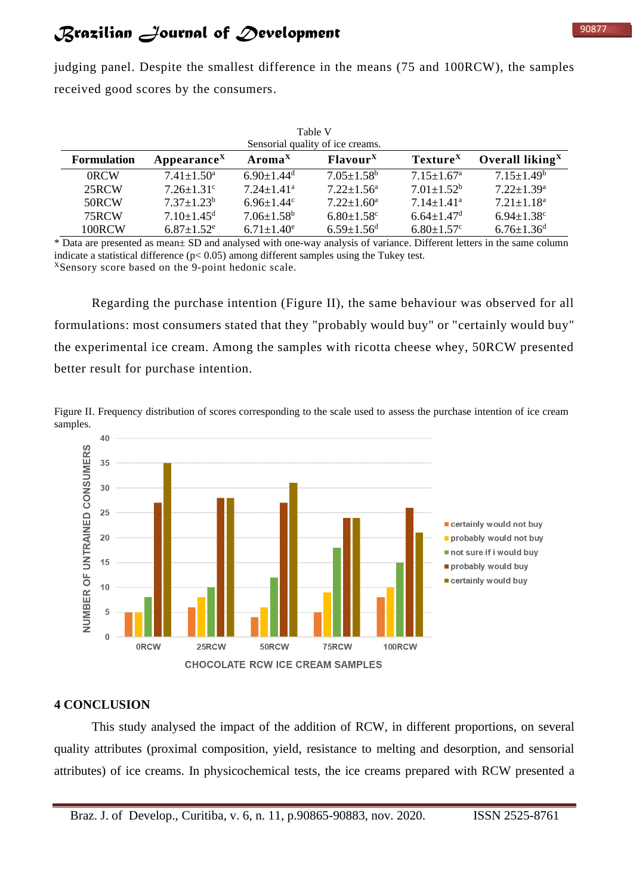judging panel. Despite the smallest difference in the means (75 and 100RCW), the samples received good scores by the consumers.

| Table V<br>Sensorial quality of ice creams. |                              |                              |                              |                              |                              |  |
|---------------------------------------------|------------------------------|------------------------------|------------------------------|------------------------------|------------------------------|--|
| <b>Formulation</b>                          | Appearance <sup>X</sup>      | $AromaX$                     | Flavour <sup>X</sup>         | Texture <sup>X</sup>         | Overall liking $X$           |  |
| 0RCW                                        | $7.41 + 1.50^a$              | $6.90 \pm 1.44$ <sup>d</sup> | $7.05 \pm 1.58^{\rm b}$      | $7.15 + 1.67$ <sup>a</sup>   | $7.15 \pm 1.49^b$            |  |
| 25RCW                                       | $7.26 + 1.31$ <sup>c</sup>   | $7.24 + 1.41$ <sup>a</sup>   | $7.22 + 1.56^a$              | $7.01 \pm 1.52^b$            | $7.22 + 1.39^a$              |  |
| 50RCW                                       | $7.37 \pm 1.23^b$            | $6.96 \pm 1.44$ °            | $7.22 \pm 1.60^{\text{a}}$   | $7.14 \pm 1.41$ <sup>a</sup> | $7.21 + 1.18$ <sup>a</sup>   |  |
| 75RCW                                       | $7.10 \pm 1.45$ <sup>d</sup> | $7.06 \pm 1.58$ <sup>b</sup> | $6.80 \pm 1.58$ <sup>c</sup> | $6.64 \pm 1.47$ <sup>d</sup> | $6.94 \pm 1.38$ <sup>c</sup> |  |
| 100RCW                                      | $6.87 \pm 1.52$ <sup>e</sup> | $6.71 \pm 1.40^e$            | $6.59 \pm 1.56$ <sup>d</sup> | $6.80 \pm 1.57$ °            | $6.76 \pm 1.36$ <sup>d</sup> |  |

\* Data are presented as mean± SD and analysed with one-way analysis of variance. Different letters in the same column indicate a statistical difference (p< 0.05) among different samples using the Tukey test. <sup>X</sup>Sensory score based on the 9-point hedonic scale.

Regarding the purchase intention (Figure II), the same behaviour was observed for all formulations: most consumers stated that they "probably would buy" or "certainly would buy" the experimental ice cream. Among the samples with ricotta cheese whey, 50RCW presented better result for purchase intention.

Figure II. Frequency distribution of scores corresponding to the scale used to assess the purchase intention of ice cream samples.



#### **4 CONCLUSION**

This study analysed the impact of the addition of RCW, in different proportions, on several quality attributes (proximal composition, yield, resistance to melting and desorption, and sensorial attributes) of ice creams. In physicochemical tests, the ice creams prepared with RCW presented a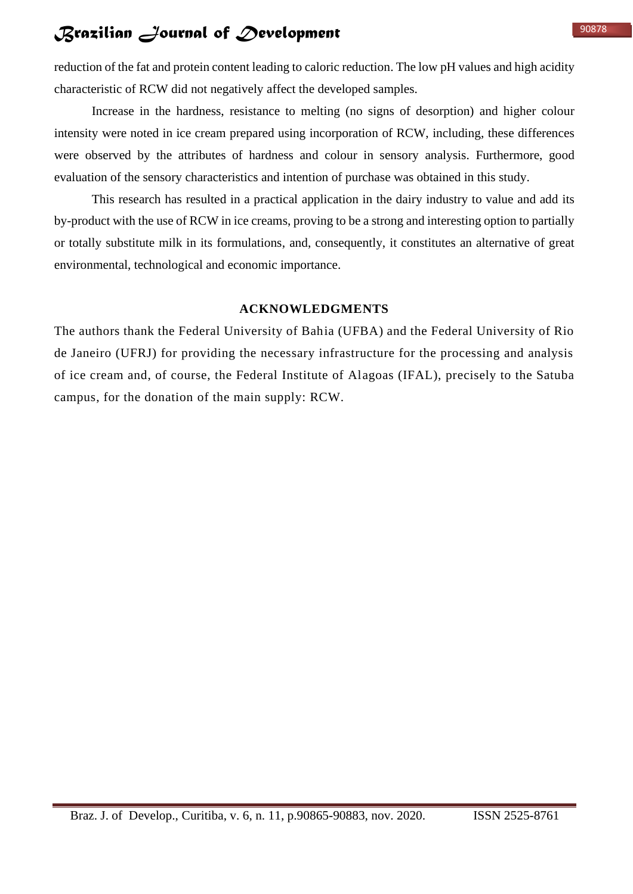reduction of the fat and protein content leading to caloric reduction. The low pH values and high acidity characteristic of RCW did not negatively affect the developed samples.

Increase in the hardness, resistance to melting (no signs of desorption) and higher colour intensity were noted in ice cream prepared using incorporation of RCW, including, these differences were observed by the attributes of hardness and colour in sensory analysis. Furthermore, good evaluation of the sensory characteristics and intention of purchase was obtained in this study.

This research has resulted in a practical application in the dairy industry to value and add its by-product with the use of RCW in ice creams, proving to be a strong and interesting option to partially or totally substitute milk in its formulations, and, consequently, it constitutes an alternative of great environmental, technological and economic importance.

#### **ACKNOWLEDGMENTS**

The authors thank the Federal University of Bahia (UFBA) and the Federal University of Rio de Janeiro (UFRJ) for providing the necessary infrastructure for the processing and analysis of ice cream and, of course, the Federal Institute of Alagoas (IFAL), precisely to the Satuba campus, for the donation of the main supply: RCW.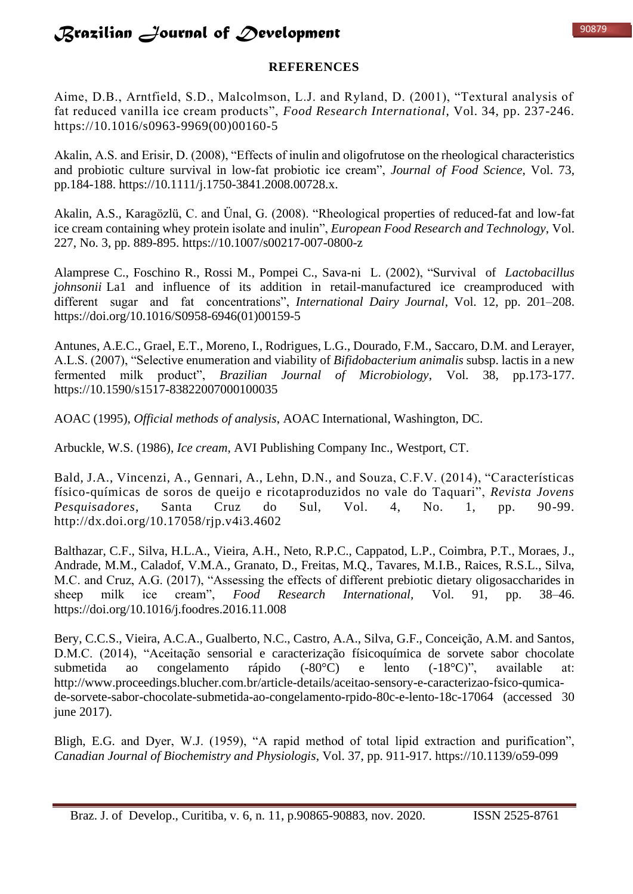## **REFERENCES**

Aime, D.B., Arntfield, S.D., Malcolmson, L.J. and Ryland, D. (2001), "Textural analysis of fat reduced vanilla ice cream products", *Food Research International*, Vol. 34, pp. 237-246. https://10.1016/s0963-9969(00)00160-5

Akalin, A.S. and Erisir, D. (2008), "Effects of inulin and oligofrutose on the rheological characteristics and probiotic culture survival in low-fat probiotic ice cream", *Journal of Food Science*, Vol. 73, pp.184-188. https://10.1111/j.1750-3841.2008.00728.x.

Akalin, A.S., Karagözlü, C. and Ünal, G. (2008). "Rheological properties of reduced-fat and low-fat ice cream containing whey protein isolate and inulin", *European Food Research and Technology*, Vol. 227, No. 3, pp. 889-895. https://10.1007/s00217-007-0800-z

Alamprese C., Foschino R., Rossi M., Pompei C., Sava-ni L. (2002), "Survival of *Lactobacillus johnsonii* La1 and influence of its addition in retail-manufactured ice creamproduced with different sugar and fat concentrations", *International Dairy Journal*, Vol. 12, pp. 201–208. https://doi.org/10.1016/S0958-6946(01)00159-5

Antunes, A.E.C., Grael, E.T., Moreno, I., Rodrigues, L.G., Dourado, F.M., Saccaro, D.M. and Lerayer, A.L.S. (2007), "Selective enumeration and viability of *Bifidobacterium animalis* subsp. lactis in a new fermented milk product", *Brazilian Journal of Microbiology*, Vol. 38, pp.173-177. https://10.1590/s1517-83822007000100035

AOAC (1995), *Official methods of analysis*, AOAC International, Washington, DC.

Arbuckle, W.S. (1986), *Ice cream*, AVI Publishing Company Inc., Westport, CT.

Bald, J.A., Vincenzi, A., Gennari, A., Lehn, D.N., and Souza, C.F.V. (2014), "Características físico-químicas de soros de queijo e ricotaproduzidos no vale do Taquari", *Revista Jovens Pesquisadores*, Santa Cruz do Sul, Vol. 4, No. 1, pp. 90-99. http://dx.doi.org/10.17058/rjp.v4i3.4602

Balthazar, C.F., Silva, H.L.A., Vieira, A.H., Neto, R.P.C., Cappatod, L.P., Coimbra, P.T., Moraes, J., Andrade, M.M., Caladof, V.M.A., Granato, D., Freitas, M.Q., Tavares, M.I.B., Raices, R.S.L., Silva, M.C. and Cruz, A.G. (2017), "Assessing the effects of different prebiotic dietary oligosaccharides in sheep milk ice cream", *Food Research International,* Vol. 91, pp. 38–46. https://doi.org/10.1016/j.foodres.2016.11.008

Bery, C.C.S., Vieira, A.C.A., Gualberto, N.C., Castro, A.A., Silva, G.F., Conceição, A.M. and Santos, D.M.C. (2014), "Aceitação sensorial e caracterização físicoquímica de sorvete sabor chocolate submetida ao congelamento rápido (-80°C) e lento (-18°C)", available at: http://www.proceedings.blucher.com.br/article-details/aceitao-sensory-e-caracterizao-fsico-qumicade-sorvete-sabor-chocolate-submetida-ao-congelamento-rpido-80c-e-lento-18c-17064 (accessed 30 june 2017).

Bligh, E.G. and Dyer, W.J. (1959), "A rapid method of total lipid extraction and purification", *Canadian Journal of Biochemistry and Physiologis*, Vol. 37, pp. 911-917. https://10.1139/o59-099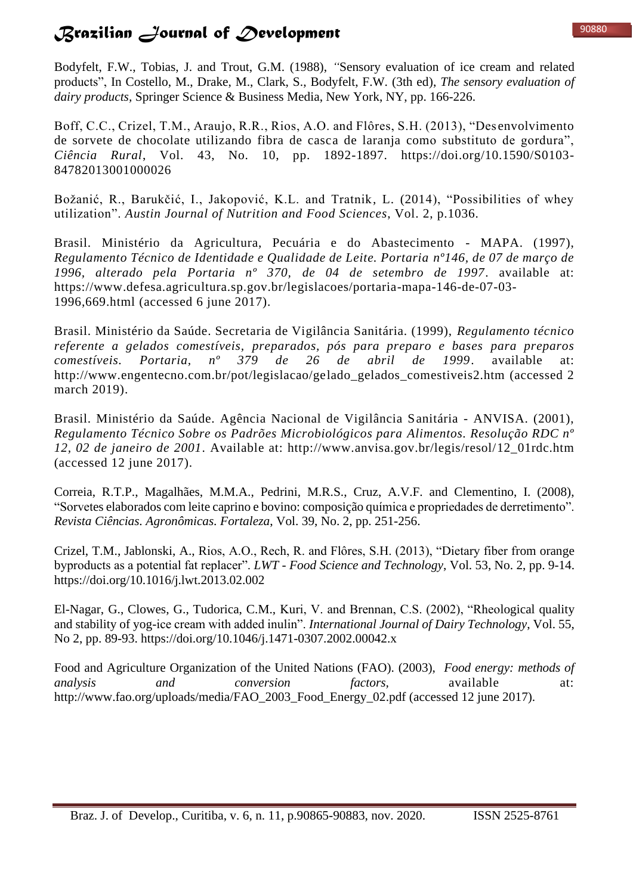Bodyfelt, F.W., Tobias, J. and Trout, G.M. (1988), *"*Sensory evaluation of ice cream and related products", In Costello, M., Drake, M., Clark, S., Bodyfelt, F.W. (3th ed), *The sensory evaluation of dairy products,* Springer Science & Business Media, New York, NY, pp. 166-226.

Boff, C.C., Crizel, T.M., Araujo, R.R., Rios, A.O. and Flôres, S.H. (2013), "Des envolvimento de sorvete de chocolate utilizando fibra de casca de laranja como substituto de gordura", *Ciência Rural*, Vol. 43, No. 10, pp. 1892-1897. https://doi.org/10.1590/S0103- 84782013001000026

Božanić, R., Barukčić, I., Jakopović, K.L. and Tratnik, L. (2014), "Possibilities of whey utilization". *Austin Journal of Nutrition and Food Sciences*, Vol. 2, p.1036.

Brasil. Ministério da Agricultura, Pecuária e do Abastecimento - MAPA. (1997), *Regulamento Técnico de Identidade e Qualidade de Leite. Portaria nº146, de 07 de março de 1996, alterado pela Portaria nº 370, de 04 de setembro de 1997*. available at: https://www.defesa.agricultura.sp.gov.br/legislacoes/portaria-mapa-146-de-07-03- 1996,669.html (accessed 6 june 2017).

Brasil. Ministério da Saúde. Secretaria de Vigilância Sanitária. (1999), *Regulamento técnico referente a gelados comestíveis, preparados, pós para preparo e bases para preparos comestíveis. Portaria, nº 379 de 26 de abril de 1999*. available at: http://www.engentecno.com.br/pot/legislacao/gelado\_gelados\_comestiveis2.htm (accessed 2) march 2019).

Brasil. Ministério da Saúde. Agência Nacional de Vigilância Sanitária - ANVISA. (2001), *Regulamento Técnico Sobre os Padrões Microbiológicos para Alimentos. Resolução RDC nº 12, 02 de janeiro de 2001*. Available at: http://www.anvisa.gov.br/legis/resol/12\_01rdc.htm (accessed 12 june 2017).

Correia, R.T.P., Magalhães, M.M.A., Pedrini, M.R.S., Cruz, A.V.F. and Clementino, I. (2008), "Sorvetes elaborados com leite caprino e bovino: composição química e propriedades de derretimento". *Revista Ciências. Agronômicas. Fortaleza*, Vol. 39, No. 2, pp. 251-256.

Crizel, T.M., Jablonski, A., Rios, A.O., Rech, R. and Flôres, S.H. (2013), "Dietary fiber from orange byproducts as a potential fat replacer". *LWT* - *Food Science and Technology*, Vol. 53, No. 2, pp. 9-14. https://doi.org/10.1016/j.lwt.2013.02.002

El-Nagar, G., Clowes, G., Tudorica, C.M., Kuri, V. and Brennan, C.S. (2002), "Rheological quality and stability of yog-ice cream with added inulin". *International Journal of Dairy Technology*, Vol. 55, No 2, pp. 89-93. https://doi.org/10.1046/j.1471-0307.2002.00042.x

Food and Agriculture Organization of the United Nations (FAO). (2003), *Food energy: methods of analysis and conversion factors,* available at: http://www.fao.org/uploads/media/FAO\_2003\_Food\_Energy\_02.pdf (accessed 12 june 2017).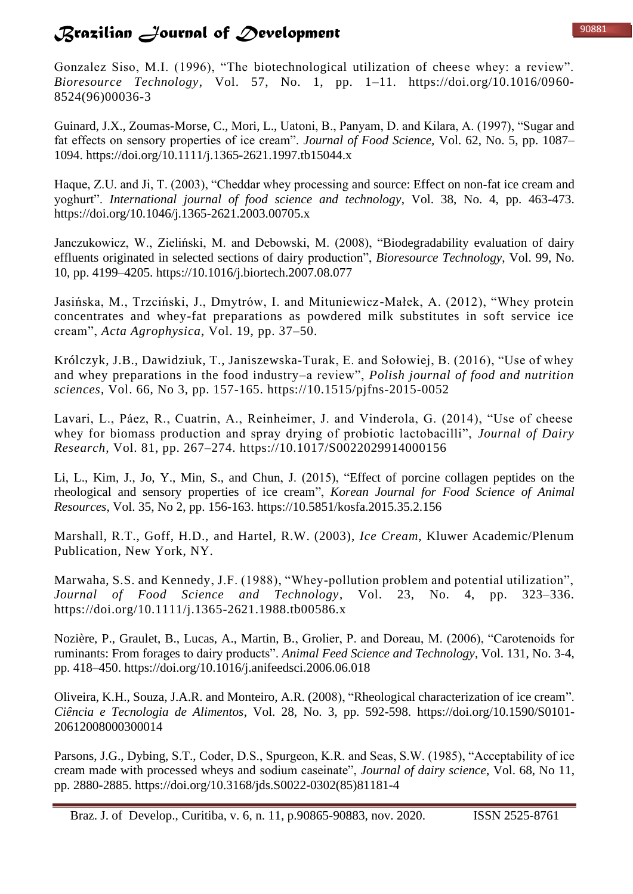Gonzalez Siso, M.I. (1996), "The biotechnological utilization of cheese whey: a review". *Bioresource Technology*, Vol. 57, No. 1, pp. 1–11. https://doi.org/10.1016/0960- 8524(96)00036-3

Guinard, J.X., Zoumas-Morse, C., Mori, L., Uatoni, B., Panyam, D. and Kilara, A. (1997), "Sugar and fat effects on sensory properties of ice cream". *Journal of Food Science,* Vol. 62, No. 5, pp. 1087– 1094. https://doi.org/10.1111/j.1365-2621.1997.tb15044.x

Haque, Z.U. and Ji, T. (2003), "Cheddar whey processing and source: Effect on non-fat ice cream and yoghurt". *International journal of food science and technology*, Vol. 38, No. 4, pp. 463-473. https://doi.org/10.1046/j.1365-2621.2003.00705.x

Janczukowicz, W., Zieliński, M. and Debowski, M. (2008), "Biodegradability evaluation of dairy effluents originated in selected sections of dairy production", *Bioresource Technology*, Vol. 99, No. 10, pp. 4199–4205. https://10.1016/j.biortech.2007.08.077

Jasińska, M., Trzciński, J., Dmytrów, I. and Mituniewicz-Małek, A. (2012), "Whey protein concentrates and whey-fat preparations as powdered milk substitutes in soft service ice cream", *Acta Agrophysica*, Vol. 19, pp. 37–50.

Królczyk, J.B., Dawidziuk, T., Janiszewska-Turak, E. and Sołowiej, B. (2016), "Use of whey and whey preparations in the food industry–a review", *Polish journal of food and nutrition sciences*, Vol. 66, No 3, pp. 157-165. https://10.1515/pjfns-2015-0052

Lavari, L., Páez, R., Cuatrin, A., Reinheimer, J. and Vinderola, G. (2014), "Use of cheese whey for biomass production and spray drying of probiotic lactobacilli", *Journal of Dairy Research,* Vol. 81, pp. 267–274. https://10.1017/S0022029914000156

Li, L., Kim, J., Jo, Y., Min, S., and Chun, J. (2015), "Effect of porcine collagen peptides on the rheological and sensory properties of ice cream", *Korean Journal for Food Science of Animal Resources*, Vol. 35, No 2, pp. 156-163. https://10.5851/kosfa.2015.35.2.156

Marshall, R.T., Goff, H.D., and Hartel, R.W. (2003), *Ice Cream*, Kluwer Academic/Plenum Publication, New York, NY.

Marwaha, S.S. and Kennedy, J.F. (1988), "Whey-pollution problem and potential utilization", *Journal of Food Science and Technology*, Vol. 23, No. 4, pp. 323–336. https://doi.org/10.1111/j.1365-2621.1988.tb00586.x

Nozière, P., Graulet, B., Lucas, A., Martin, B., Grolier, P. and Doreau, M. (2006), "Carotenoids for ruminants: From forages to dairy products". *Animal Feed Science and Technology*, Vol. 131, No. 3-4, pp. 418–450. https://doi.org/10.1016/j.anifeedsci.2006.06.018

Oliveira, K.H., Souza, J.A.R. and Monteiro, A.R. (2008), "Rheological characterization of ice cream". *Ciência e Tecnologia de Alimentos*, Vol. 28, No. 3, pp. 592-598. https://doi.org/10.1590/S0101- 20612008000300014

Parsons, J.G., Dybing, S.T., Coder, D.S., Spurgeon, K.R. and Seas, S.W. (1985), "Acceptability of ice cream made with processed wheys and sodium caseinate", *Journal of dairy science*, Vol. 68, No 11, pp. 2880-2885. https://doi.org/10.3168/jds.S0022-0302(85)81181-4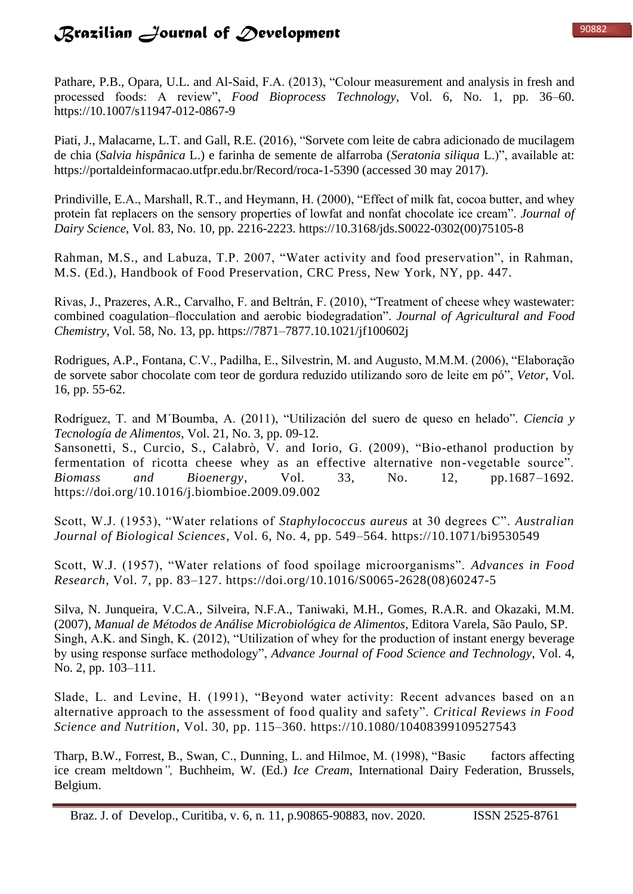Pathare, P.B., Opara, U.L. and Al-Said, F.A. (2013), "Colour measurement and analysis in fresh and processed foods: A review", *Food Bioprocess Technology*, Vol. 6, No. 1, pp. 36–60. https://10.1007/s11947-012-0867-9

Piati, J., Malacarne, L.T. and Gall, R.E. (2016), "Sorvete com leite de cabra adicionado de mucilagem de chia (*Salvia hispânica* L.) e farinha de semente de alfarroba (*Seratonia siliqua* L.)", available at: https://portaldeinformacao.utfpr.edu.br/Record/roca-1-5390 (accessed 30 may 2017).

Prindiville, E.A., Marshall, R.T., and Heymann, H. (2000), "Effect of milk fat, cocoa butter, and whey protein fat replacers on the sensory properties of lowfat and nonfat chocolate ice cream". *Journal of Dairy Science*, Vol. 83, No. 10, pp. 2216-2223. https://10.3168/jds.S0022-0302(00)75105-8

Rahman, M.S., and Labuza, T.P. 2007, "Water activity and food preservation", in Rahman, M.S. (Ed.), Handbook of Food Preservation, CRC Press, New York, NY, pp. 447.

Rivas, J., Prazeres, A.R., Carvalho, F. and Beltrán, F. (2010), "Treatment of cheese whey wastewater: combined coagulation–flocculation and aerobic biodegradation". *Journal of Agricultural and Food Chemistry*, Vol. 58, No. 13, pp. https://7871–7877.10.1021/jf100602j

Rodrigues, A.P., Fontana, C.V., Padilha, E., Silvestrin, M. and Augusto, M.M.M. (2006), "Elaboração de sorvete sabor chocolate com teor de gordura reduzido utilizando soro de leite em pó", *Vetor*, Vol. 16, pp. 55-62.

Rodríguez, T. and M´Boumba, A. (2011), "Utilización del suero de queso en helado". *Ciencia y Tecnología de Alimentos*, Vol. 21, No. 3, pp. 09-12.

Sansonetti, S., Curcio, S., Calabrò, V. and Iorio, G. (2009), "Bio-ethanol production by fermentation of ricotta cheese whey as an effective alternative non-vegetable source". *Biomass and Bioenergy*, Vol. 33, No. 12, pp.1687–1692. https://doi.org/10.1016/j.biombioe.2009.09.002

Scott, W.J. (1953), "Water relations of *Staphylococcus aureus* at 30 degrees C". *Australian Journal of Biological Sciences*, Vol. 6, No. 4, pp. 549–564. https://10.1071/bi9530549

Scott, W.J. (1957), "Water relations of food spoilage microorganisms". *Advances in Food Research*, Vol. 7, pp. 83–127. https://doi.org/10.1016/S0065-2628(08)60247-5

Silva, N. Junqueira, V.C.A., Silveira, N.F.A., Taniwaki, M.H., Gomes, R.A.R. and Okazaki, M.M. (2007), *Manual de Métodos de Análise Microbiológica de Alimentos*, Editora Varela, São Paulo, SP. Singh, A.K. and Singh, K. (2012), "Utilization of whey for the production of instant energy beverage by using response surface methodology", *Advance Journal of Food Science and Technology*, Vol. 4, No. 2, pp. 103–111.

Slade, L. and Levine, H. (1991), "Beyond water activity: Recent advances based on an alternative approach to the assessment of food quality and safety". *Critical Reviews in Food Science and Nutrition*, Vol. 30, pp. 115–360. https://10.1080/10408399109527543

Tharp, B.W., Forrest, B., Swan, C., Dunning, L. and Hilmoe, M. (1998), "Basic factors affecting ice cream meltdown*",* Buchheim, W. (Ed.) *Ice Cream*, International Dairy Federation, Brussels, Belgium.

Braz. J. of Develop., Curitiba, v. 6, n. 11, p.90865-90883, nov. 2020. ISSN 2525-8761